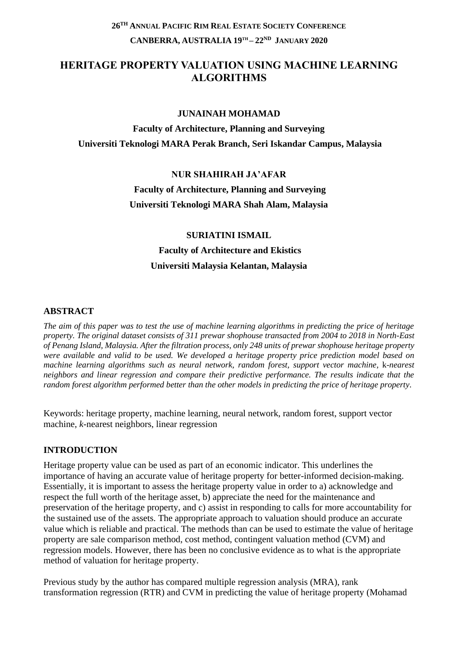# **HERITAGE PROPERTY VALUATION USING MACHINE LEARNING ALGORITHMS**

#### **JUNAINAH MOHAMAD**

**Faculty of Architecture, Planning and Surveying Universiti Teknologi MARA Perak Branch, Seri Iskandar Campus, Malaysia**

# **NUR SHAHIRAH JA'AFAR Faculty of Architecture, Planning and Surveying**

**Universiti Teknologi MARA Shah Alam, Malaysia**

## **SURIATINI ISMAIL**

# **Faculty of Architecture and Ekistics Universiti Malaysia Kelantan, Malaysia**

#### **ABSTRACT**

*The aim of this paper was to test the use of machine learning algorithms in predicting the price of heritage property. The original dataset consists of 311 prewar shophouse transacted from 2004 to 2018 in North-East of Penang Island, Malaysia. After the filtration process, only 248 units of prewar shophouse heritage property were available and valid to be used. We developed a heritage property price prediction model based on machine learning algorithms such as neural network, random forest, support vector machine,* k*-nearest neighbors and linear regression and compare their predictive performance. The results indicate that the random forest algorithm performed better than the other models in predicting the price of heritage property.* 

Keywords: heritage property, machine learning, neural network, random forest, support vector machine, *k*-nearest neighbors, linear regression

## **INTRODUCTION**

Heritage property value can be used as part of an economic indicator. This underlines the importance of having an accurate value of heritage property for better-informed decision-making. Essentially, it is important to assess the heritage property value in order to a) acknowledge and respect the full worth of the heritage asset, b) appreciate the need for the maintenance and preservation of the heritage property, and c) assist in responding to calls for more accountability for the sustained use of the assets. The appropriate approach to valuation should produce an accurate value which is reliable and practical. The methods than can be used to estimate the value of heritage property are sale comparison method, cost method, contingent valuation method (CVM) and regression models. However, there has been no conclusive evidence as to what is the appropriate method of valuation for heritage property.

Previous study by the author has compared multiple regression analysis (MRA), rank transformation regression (RTR) and CVM in predicting the value of heritage property (Mohamad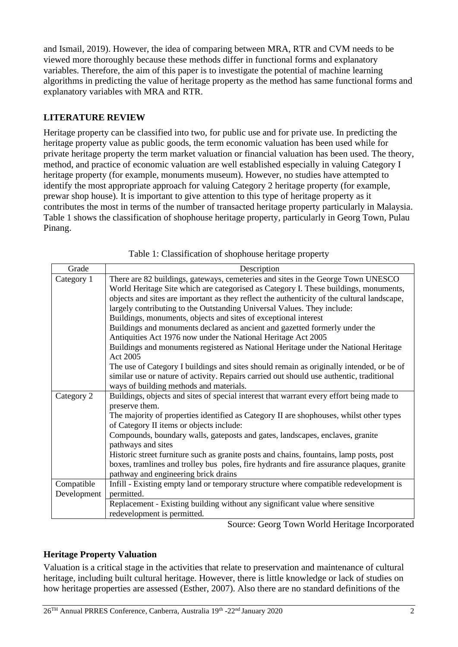and Ismail, 2019). However, the idea of comparing between MRA, RTR and CVM needs to be viewed more thoroughly because these methods differ in functional forms and explanatory variables. Therefore, the aim of this paper is to investigate the potential of machine learning algorithms in predicting the value of heritage property as the method has same functional forms and explanatory variables with MRA and RTR.

## **LITERATURE REVIEW**

Heritage property can be classified into two, for public use and for private use. In predicting the heritage property value as public goods, the term economic valuation has been used while for private heritage property the term market valuation or financial valuation has been used. The theory, method, and practice of economic valuation are well established especially in valuing Category I heritage property (for example, monuments museum). However, no studies have attempted to identify the most appropriate approach for valuing Category 2 heritage property (for example, prewar shop house). It is important to give attention to this type of heritage property as it contributes the most in terms of the number of transacted heritage property particularly in Malaysia. [Table 1](#page-1-0) shows the classification of shophouse heritage property, particularly in Georg Town, Pulau Pinang.

<span id="page-1-0"></span>

| Grade       | Description                                                                                 |
|-------------|---------------------------------------------------------------------------------------------|
| Category 1  | There are 82 buildings, gateways, cemeteries and sites in the George Town UNESCO            |
|             | World Heritage Site which are categorised as Category I. These buildings, monuments,        |
|             | objects and sites are important as they reflect the authenticity of the cultural landscape, |
|             | largely contributing to the Outstanding Universal Values. They include:                     |
|             | Buildings, monuments, objects and sites of exceptional interest                             |
|             | Buildings and monuments declared as ancient and gazetted formerly under the                 |
|             | Antiquities Act 1976 now under the National Heritage Act 2005                               |
|             | Buildings and monuments registered as National Heritage under the National Heritage         |
|             | Act 2005                                                                                    |
|             | The use of Category I buildings and sites should remain as originally intended, or be of    |
|             | similar use or nature of activity. Repairs carried out should use authentic, traditional    |
|             | ways of building methods and materials.                                                     |
| Category 2  | Buildings, objects and sites of special interest that warrant every effort being made to    |
|             | preserve them.                                                                              |
|             | The majority of properties identified as Category II are shophouses, whilst other types     |
|             | of Category II items or objects include:                                                    |
|             | Compounds, boundary walls, gateposts and gates, landscapes, enclaves, granite               |
|             | pathways and sites                                                                          |
|             | Historic street furniture such as granite posts and chains, fountains, lamp posts, post     |
|             | boxes, tramlines and trolley bus poles, fire hydrants and fire assurance plaques, granite   |
|             | pathway and engineering brick drains                                                        |
| Compatible  | Infill - Existing empty land or temporary structure where compatible redevelopment is       |
| Development | permitted.                                                                                  |
|             | Replacement - Existing building without any significant value where sensitive               |
|             | redevelopment is permitted.                                                                 |

Source: Georg Town World Heritage Incorporated

## **Heritage Property Valuation**

Valuation is a critical stage in the activities that relate to preservation and maintenance of cultural heritage, including built cultural heritage. However, there is little knowledge or lack of studies on how heritage properties are assessed (Esther, 2007). Also there are no standard definitions of the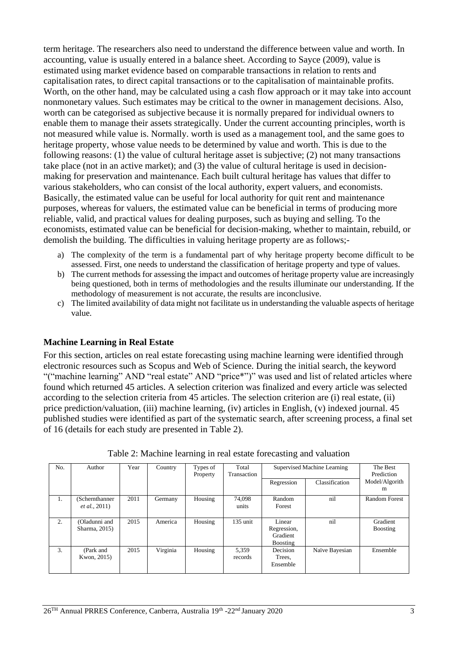term heritage. The researchers also need to understand the difference between value and worth. In accounting, value is usually entered in a balance sheet. According to Sayce (2009), value is estimated using market evidence based on comparable transactions in relation to rents and capitalisation rates, to direct capital transactions or to the capitalisation of maintainable profits. Worth, on the other hand, may be calculated using a cash flow approach or it may take into account nonmonetary values. Such estimates may be critical to the owner in management decisions. Also, worth can be categorised as subjective because it is normally prepared for individual owners to enable them to manage their assets strategically. Under the current accounting principles, worth is not measured while value is. Normally. worth is used as a management tool, and the same goes to heritage property, whose value needs to be determined by value and worth. This is due to the following reasons: (1) the value of cultural heritage asset is subjective; (2) not many transactions take place (not in an active market); and (3) the value of cultural heritage is used in decisionmaking for preservation and maintenance. Each built cultural heritage has values that differ to various stakeholders, who can consist of the local authority, expert valuers, and economists. Basically, the estimated value can be useful for local authority for quit rent and maintenance purposes, whereas for valuers, the estimated value can be beneficial in terms of producing more reliable, valid, and practical values for dealing purposes, such as buying and selling. To the economists, estimated value can be beneficial for decision-making, whether to maintain, rebuild, or demolish the building. The difficulties in valuing heritage property are as follows;-

- a) The complexity of the term is a fundamental part of why heritage property become difficult to be assessed. First, one needs to understand the classification of heritage property and type of values.
- b) The current methods for assessing the impact and outcomes of heritage property value are increasingly being questioned, both in terms of methodologies and the results illuminate our understanding. If the methodology of measurement is not accurate, the results are inconclusive.
- c) The limited availability of data might not facilitate us in understanding the valuable aspects of heritage value.

## **Machine Learning in Real Estate**

For this section, articles on real estate forecasting using machine learning were identified through electronic resources such as Scopus and Web of Science. During the initial search, the keyword "("machine learning" AND "real estate" AND "price\*")" was used and list of related articles where found which returned 45 articles. A selection criterion was finalized and every article was selected according to the selection criteria from 45 articles. The selection criterion are (i) real estate, (ii) price prediction/valuation, (iii) machine learning, (iv) articles in English, (v) indexed journal. 45 published studies were identified as part of the systematic search, after screening process, a final set of 16 (details for each study are presented in [Table 2\)](#page-2-0).

<span id="page-2-0"></span>

| No. | Author                                   | Year | Country  | Types of<br>Property | Total<br>Transaction | Supervised Machine Learning                          |                | The Best<br>Prediction |
|-----|------------------------------------------|------|----------|----------------------|----------------------|------------------------------------------------------|----------------|------------------------|
|     |                                          |      |          |                      |                      | Regression                                           | Classification | Model/Algorith<br>m    |
| 1.  | (Schernthanner)<br><i>et al.</i> , 2011) | 2011 | Germany  | Housing              | 74.098<br>units      | Random<br>Forest                                     | nil            | Random Forest          |
| 2.  | (Oladunni and<br>Sharma, 2015)           | 2015 | America  | Housing              | $135$ unit           | Linear<br>Regression,<br>Gradient<br><b>Boosting</b> | nil            | Gradient<br>Boosting   |
| 3.  | (Park and<br>Kwon, 2015)                 | 2015 | Virginia | Housing              | 5,359<br>records     | Decision<br>Trees,<br>Ensemble                       | Naïve Bayesian | Ensemble               |

Table 2: Machine learning in real estate forecasting and valuation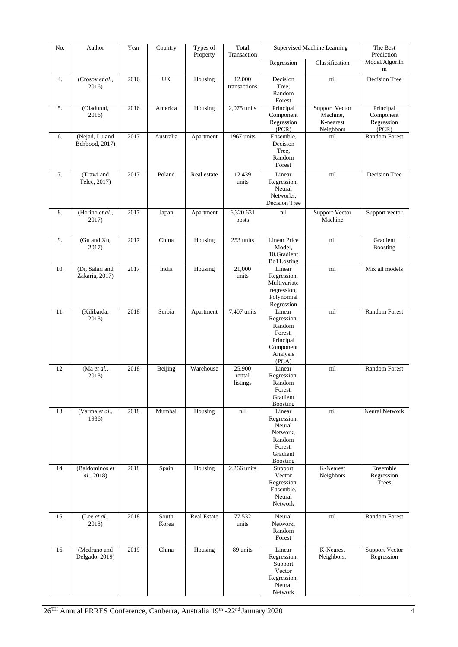| No. | Author                            | Year | Country        | Types of<br>Property | Total<br>Transaction         | Supervised Machine Learning                                                                     |                                                      | The Best<br>Prediction                        |  |
|-----|-----------------------------------|------|----------------|----------------------|------------------------------|-------------------------------------------------------------------------------------------------|------------------------------------------------------|-----------------------------------------------|--|
|     |                                   |      |                |                      |                              | Regression                                                                                      | Classification                                       | Model/Algorith<br>m                           |  |
| 4.  | (Crosby et al.,<br>2016)          | 2016 | UK             | Housing              | 12,000<br>transactions       | Decision<br>Tree.<br>Random<br>Forest                                                           | nil                                                  | Decision Tree                                 |  |
| 5.  | (Oladunni,<br>2016)               | 2016 | America        | Housing              | 2,075 units                  | Principal<br>Component<br>Regression<br>(PCR)                                                   | Support Vector<br>Machine,<br>K-nearest<br>Neighbors | Principal<br>Component<br>Regression<br>(PCR) |  |
| 6.  | (Nejad, Lu and<br>Behbood, 2017)  | 2017 | Australia      | Apartment            | 1967 units                   | Ensemble,<br>Decision<br>Tree.<br>Random<br>Forest                                              | nil                                                  | <b>Random Forest</b>                          |  |
| 7.  | (Trawi and<br>Telec, 2017)        | 2017 | Poland         | Real estate          | 12,439<br>units              | Linear<br>Regression,<br>Neural<br>Networks,<br>Decision Tree                                   | nil                                                  | Decision Tree                                 |  |
| 8.  | (Horino et al.,<br>2017)          | 2017 | Japan          | Apartment            | 6,320,631<br>posts           | nil                                                                                             | <b>Support Vector</b><br>Machine                     | Support vector                                |  |
| 9.  | (Gu and Xu,<br>2017)              | 2017 | China          | Housing              | $\overline{253}$ units       | <b>Linear Price</b><br>Model,<br>10.Gradient<br>Bo11.osting                                     | nil                                                  | Gradient<br><b>Boosting</b>                   |  |
| 10. | (Di, Satari and<br>Zakaria, 2017) | 2017 | India          | Housing              | 21,000<br>units              | Linear<br>Regression,<br>Multivariate<br>regression,<br>Polynomial<br>Regression                | nil                                                  | Mix all models                                |  |
| 11. | (Kilibarda,<br>2018)              | 2018 | Serbia         | Apartment            | 7,407 units                  | Linear<br>Regression,<br>Random<br>Forest,<br>Principal<br>Component<br>Analysis<br>(PCA)       | nil                                                  | <b>Random Forest</b>                          |  |
| 12. | (Ma et al.,<br>2018)              | 2018 | Beijing        | Warehouse            | 25,900<br>rental<br>listings | Linear<br>Regression,<br>Random<br>Forest,<br>Gradient<br>Boosting                              | nil                                                  | Random Forest                                 |  |
| 13. | (Varma et al.,<br>1936)           | 2018 | Mumbai         | Housing              | nil                          | Linear<br>Regression,<br>Neural<br>Network,<br>Random<br>Forest,<br>Gradient<br><b>Boosting</b> | nil                                                  | Neural Network                                |  |
| 14. | (Baldominos et<br>al., 2018)      | 2018 | Spain          | Housing              | 2,266 units                  | Support<br>Vector<br>Regression,<br>Ensemble,<br>Neural<br>Network                              | K-Nearest<br>Neighbors                               | Ensemble<br>Regression<br>Trees               |  |
| 15. | (Lee et al.,<br>2018)             | 2018 | South<br>Korea | Real Estate          | 77,532<br>units              | Neural<br>Network,<br>Random<br>Forest                                                          | nil                                                  | Random Forest                                 |  |
| 16. | (Medrano and<br>Delgado, 2019)    | 2019 | China          | Housing              | 89 units                     | Linear<br>Regression,<br>Support<br>Vector<br>Regression,<br>Neural<br>Network                  | K-Nearest<br>Neighbors,                              | <b>Support Vector</b><br>Regression           |  |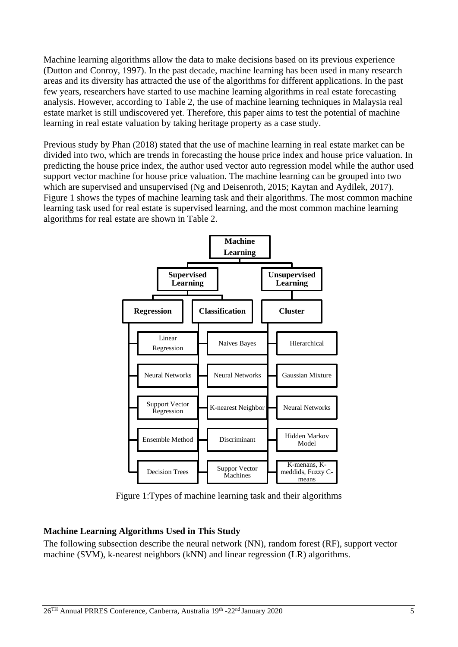Machine learning algorithms allow the data to make decisions based on its previous experience (Dutton and Conroy, 1997). In the past decade, machine learning has been used in many research areas and its diversity has attracted the use of the algorithms for different applications. In the past few years, researchers have started to use machine learning algorithms in real estate forecasting analysis. However, according to [Table 2,](#page-2-0) the use of machine learning techniques in Malaysia real estate market is still undiscovered yet. Therefore, this paper aims to test the potential of machine learning in real estate valuation by taking heritage property as a case study.

Previous study by Phan (2018) stated that the use of machine learning in real estate market can be divided into two, which are trends in forecasting the house price index and house price valuation. In predicting the house price index, the author used vector auto regression model while the author used support vector machine for house price valuation. The machine learning can be grouped into two which are supervised and unsupervised (Ng and Deisenroth, 2015; Kaytan and Aydilek, 2017). [Figure 1](#page-4-0) shows the types of machine learning task and their algorithms. The most common machine learning task used for real estate is supervised learning, and the most common machine learning algorithms for real estate are shown in [Table 2.](#page-2-0)



Figure 1:Types of machine learning task and their algorithms

# <span id="page-4-0"></span>**Machine Learning Algorithms Used in This Study**

The following subsection describe the neural network (NN), random forest (RF), support vector machine (SVM), k-nearest neighbors (kNN) and linear regression (LR) algorithms.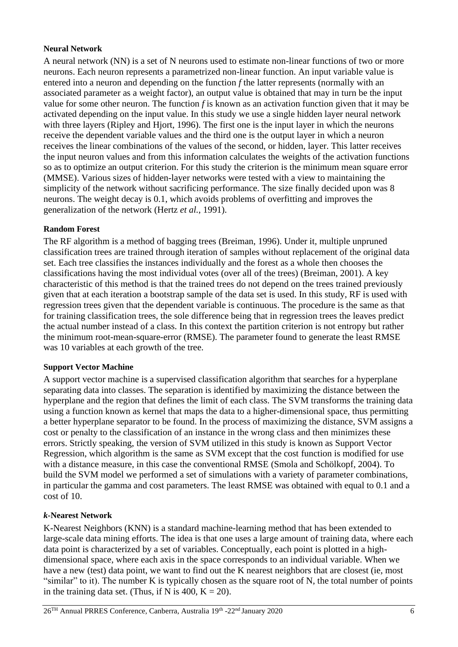#### **Neural Network**

A neural network (NN) is a set of N neurons used to estimate non-linear functions of two or more neurons. Each neuron represents a parametrized non-linear function. An input variable value is entered into a neuron and depending on the function *f* the latter represents (normally with an associated parameter as a weight factor), an output value is obtained that may in turn be the input value for some other neuron. The function *f* is known as an activation function given that it may be activated depending on the input value. In this study we use a single hidden layer neural network with three layers (Ripley and Hjort, 1996). The first one is the input layer in which the neurons receive the dependent variable values and the third one is the output layer in which a neuron receives the linear combinations of the values of the second, or hidden, layer. This latter receives the input neuron values and from this information calculates the weights of the activation functions so as to optimize an output criterion. For this study the criterion is the minimum mean square error (MMSE). Various sizes of hidden-layer networks were tested with a view to maintaining the simplicity of the network without sacrificing performance. The size finally decided upon was 8 neurons. The weight decay is 0.1, which avoids problems of overfitting and improves the generalization of the network (Hertz *et al.*, 1991).

## **Random Forest**

The RF algorithm is a method of bagging trees (Breiman, 1996). Under it, multiple unpruned classification trees are trained through iteration of samples without replacement of the original data set. Each tree classifies the instances individually and the forest as a whole then chooses the classifications having the most individual votes (over all of the trees) (Breiman, 2001). A key characteristic of this method is that the trained trees do not depend on the trees trained previously given that at each iteration a bootstrap sample of the data set is used. In this study, RF is used with regression trees given that the dependent variable is continuous. The procedure is the same as that for training classification trees, the sole difference being that in regression trees the leaves predict the actual number instead of a class. In this context the partition criterion is not entropy but rather the minimum root-mean-square-error (RMSE). The parameter found to generate the least RMSE was 10 variables at each growth of the tree.

#### **Support Vector Machine**

A support vector machine is a supervised classification algorithm that searches for a hyperplane separating data into classes. The separation is identified by maximizing the distance between the hyperplane and the region that defines the limit of each class. The SVM transforms the training data using a function known as kernel that maps the data to a higher-dimensional space, thus permitting a better hyperplane separator to be found. In the process of maximizing the distance, SVM assigns a cost or penalty to the classification of an instance in the wrong class and then minimizes these errors. Strictly speaking, the version of SVM utilized in this study is known as Support Vector Regression, which algorithm is the same as SVM except that the cost function is modified for use with a distance measure, in this case the conventional RMSE (Smola and Schölkopf, 2004). To build the SVM model we performed a set of simulations with a variety of parameter combinations, in particular the gamma and cost parameters. The least RMSE was obtained with equal to 0.1 and a cost of 10.

#### *k***-Nearest Network**

K-Nearest Neighbors (KNN) is a standard machine-learning method that has been extended to large-scale data mining efforts. The idea is that one uses a large amount of training data, where each data point is characterized by a set of variables. Conceptually, each point is plotted in a highdimensional space, where each axis in the space corresponds to an individual variable. When we have a new (test) data point, we want to find out the K nearest neighbors that are closest (ie, most "similar" to it). The number K is typically chosen as the square root of N, the total number of points in the training data set. (Thus, if N is 400,  $K = 20$ ).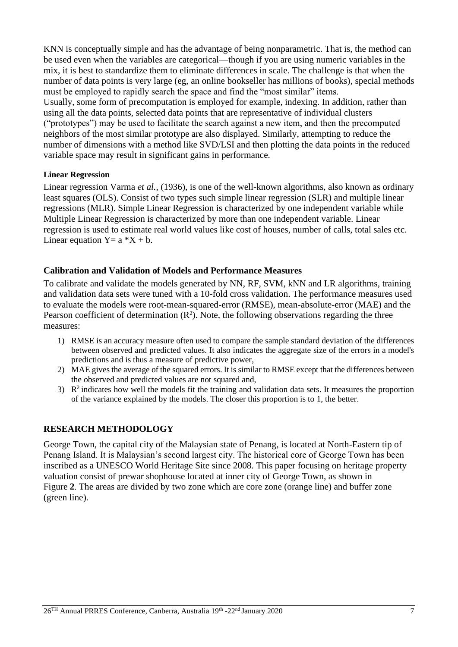KNN is conceptually simple and has the advantage of being nonparametric. That is, the method can be used even when the variables are categorical—though if you are using numeric variables in the mix, it is best to standardize them to eliminate differences in scale. The challenge is that when the number of data points is very large (eg, an online bookseller has millions of books), special methods must be employed to rapidly search the space and find the "most similar" items. Usually, some form of precomputation is employed for example, indexing. In addition, rather than using all the data points, selected data points that are representative of individual clusters ("prototypes") may be used to facilitate the search against a new item, and then the precomputed neighbors of the most similar prototype are also displayed. Similarly, attempting to reduce the number of dimensions with a method like SVD/LSI and then plotting the data points in the reduced variable space may result in significant gains in performance.

#### **Linear Regression**

Linear regression Varma *et al.*, (1936), is one of the well-known algorithms, also known as ordinary least squares (OLS). Consist of two types such simple linear regression (SLR) and multiple linear regressions (MLR). Simple Linear Regression is characterized by one independent variable while Multiple Linear Regression is characterized by more than one independent variable. Linear regression is used to estimate real world values like cost of houses, number of calls, total sales etc. Linear equation  $Y = a *X + b$ .

## **Calibration and Validation of Models and Performance Measures**

To calibrate and validate the models generated by NN, RF, SVM, kNN and LR algorithms, training and validation data sets were tuned with a 10-fold cross validation. The performance measures used to evaluate the models were root-mean-squared-error (RMSE), mean-absolute-error (MAE) and the Pearson coefficient of determination  $(R^2)$ . Note, the following observations regarding the three measures:

- 1) RMSE is an accuracy measure often used to compare the sample standard deviation of the differences between observed and predicted values. It also indicates the aggregate size of the errors in a model's predictions and is thus a measure of predictive power,
- 2) MAE gives the average of the squared errors. It is similar to RMSE except that the differences between the observed and predicted values are not squared and,
- 3)  $\mathbb{R}^2$  indicates how well the models fit the training and validation data sets. It measures the proportion of the variance explained by the models. The closer this proportion is to 1, the better.

# **RESEARCH METHODOLOGY**

George Town, the capital city of the Malaysian state of Penang, is located at North-Eastern tip of Penang Island. It is Malaysian's second largest city. The historical core of George Town has been inscribed as a UNESCO World Heritage Site since 2008. This paper focusing on heritag[e property](#page-7-0)  valuation consist of prewar shophouse located at inner city of George Town, as shown in [Figure](#page-7-0) **2**. The areas are divided by two zone which are core zone (orange line) and buffer zone (green line).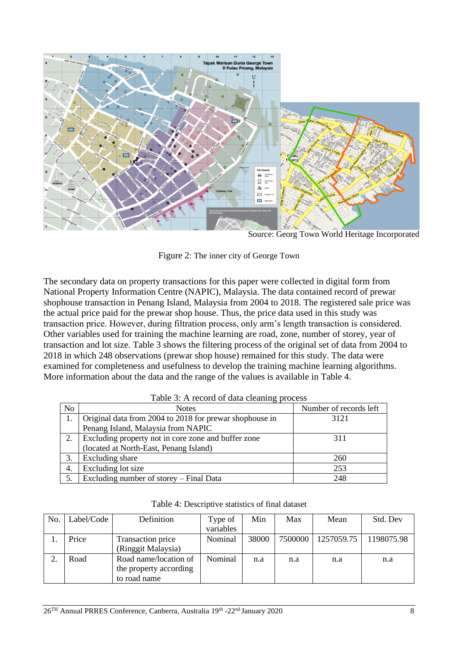

<span id="page-7-0"></span>Source: Georg Town World Heritage Incorporated

Figure 2: The inner city of George Town

The secondary data on property transactions for this paper were collected in digital form from National Property Information Centre (NAPIC), Malaysia. The data contained record of prewar shophouse transaction in Penang Island, Malaysia from 2004 to 2018. The registered sale price was the actual price paid for the prewar shop house. Thus, the price data used in this study was transaction price. However, during filtration process, only arm's length transaction is considered. Other variables used for training the machine learning are road, zone, number of storey, year of transaction and lot size. [Table 3](#page-7-1) shows the filtering process of the original set of data from 2004 to 2018 in which 248 observations (prewar shop house) remained for this study. The data were examined for completeness and usefulness to develop the training machine learning algorithms. More information about the data and the range of the values is available in [Table 4.](#page-7-2)

<span id="page-7-1"></span>

|    | I able 5. A record of data cleaning process             |                        |  |  |  |  |  |
|----|---------------------------------------------------------|------------------------|--|--|--|--|--|
| No | <b>Notes</b>                                            | Number of records left |  |  |  |  |  |
|    | Original data from 2004 to 2018 for prewar shophouse in | 3121                   |  |  |  |  |  |
|    | Penang Island, Malaysia from NAPIC                      |                        |  |  |  |  |  |
| 2. | Excluding property not in core zone and buffer zone     | 311                    |  |  |  |  |  |
|    | (located at North-East, Penang Island)                  |                        |  |  |  |  |  |
| 3. | Excluding share                                         | 260                    |  |  |  |  |  |
| 4. | Excluding lot size                                      | 253                    |  |  |  |  |  |
|    | Excluding number of storey – Final Data                 | 248                    |  |  |  |  |  |

|  | Table 3: A record of data cleaning process |  |  |
|--|--------------------------------------------|--|--|
|--|--------------------------------------------|--|--|

<span id="page-7-2"></span>

| No. | Label/Code | Definition                                                      | Type of   | Min   | Max     | Mean       | Std. Dev   |
|-----|------------|-----------------------------------------------------------------|-----------|-------|---------|------------|------------|
|     |            |                                                                 | variables |       |         |            |            |
|     | Price      | Transaction price                                               | Nominal   | 38000 | 7500000 | 1257059.75 | 1198075.98 |
|     |            | (Ringgit Malaysia)                                              |           |       |         |            |            |
| 2.  | Road       | Road name/location of<br>the property according<br>to road name | Nominal   | n.a   | n.a     | n.a        | n.a        |

Table 4: Descriptive statistics of final dataset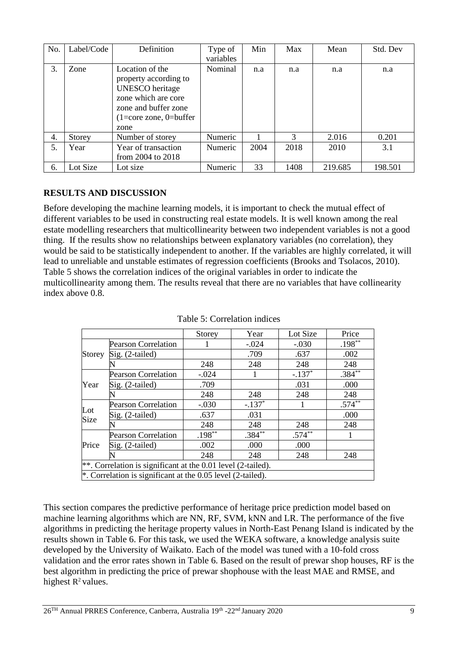| No. | Label/Code | Definition                                                                                                                                                 | Type of<br>variables | Min  | Max  | Mean    | Std. Dev |
|-----|------------|------------------------------------------------------------------------------------------------------------------------------------------------------------|----------------------|------|------|---------|----------|
| 3.  | Zone       | Location of the<br>property according to<br><b>UNESCO</b> heritage<br>zone which are core<br>zone and buffer zone<br>$(1 = core zone, 0 = buffer)$<br>zone | Nominal              | n.a  | n.a  | n.a     | n.a      |
| 4.  | Storey     | Number of storey                                                                                                                                           | Numeric              |      | 3    | 2.016   | 0.201    |
| 5.  | Year       | Year of transaction<br>from 2004 to 2018                                                                                                                   | Numeric              | 2004 | 2018 | 2010    | 3.1      |
| 6.  | Lot Size   | Lot size                                                                                                                                                   | Numeric              | 33   | 1408 | 219.685 | 198.501  |

# **RESULTS AND DISCUSSION**

Before developing the machine learning models, it is important to check the mutual effect of different variables to be used in constructing real estate models. It is well known among the real estate modelling researchers that multicollinearity between two independent variables is not a good thing. If the results show no relationships between explanatory variables (no correlation), they would be said to be statistically independent to another. If the variables are highly correlated, it will lead to unreliable and unstable estimates of regression coefficients (Brooks and Tsolacos, 2010). [Table 5](#page-8-0) shows the correlation indices of the original variables in order to indicate the multicollinearity among them. The results reveal that there are no variables that have collinearity index above 0.8.

<span id="page-8-0"></span>

|             |                                                                | Storey    | Year     | Lot Size  | Price     |
|-------------|----------------------------------------------------------------|-----------|----------|-----------|-----------|
|             | <b>Pearson Correlation</b>                                     |           | $-.024$  | $-.030$   | $.198***$ |
| Storey      | Sig. (2-tailed)                                                |           | .709     | .637      | .002      |
|             |                                                                | 248       | 248      | 248       | 248       |
|             | <b>Pearson Correlation</b>                                     | $-.024$   |          | $-.137*$  | $.384**$  |
| Year        | Sig. (2-tailed)                                                | .709      |          | .031      | .000      |
|             |                                                                | 248       | 248      | 248       | 248       |
| Lot<br>Size | <b>Pearson Correlation</b>                                     | $-.030$   | $-.137*$ |           | $.574***$ |
|             | Sig. (2-tailed)                                                | .637      | .031     |           | .000      |
|             |                                                                | 248       | 248      | 248       | 248       |
|             | <b>Pearson Correlation</b>                                     | $.198***$ | $.384**$ | $.574***$ |           |
| Price       | Sig. (2-tailed)                                                | .002      | .000     | .000      |           |
|             |                                                                | 248       | 248      | 248       | 248       |
|             | **. Correlation is significant at the $0.01$ level (2-tailed). |           |          |           |           |
|             | *. Correlation is significant at the $0.05$ level (2-tailed).  |           |          |           |           |

Table 5: Correlation indices

This section compares the predictive performance of heritage price prediction model based on machine learning algorithms which are NN, RF, SVM, kNN and LR. The performance of the five algorithms in predicting the heritage property values in North-East Penang Island is indicated by the results shown in [Table 6.](#page-9-0) For this task, we used the WEKA software, a knowledge analysis suite developed by the University of Waikato. Each of the model was tuned with a 10-fold cross validation and the error rates shown in [Table 6.](#page-9-0) Based on the result of prewar shop houses, RF is the best algorithm in predicting the price of prewar shophouse with the least MAE and RMSE, and highest  $R^2$  values.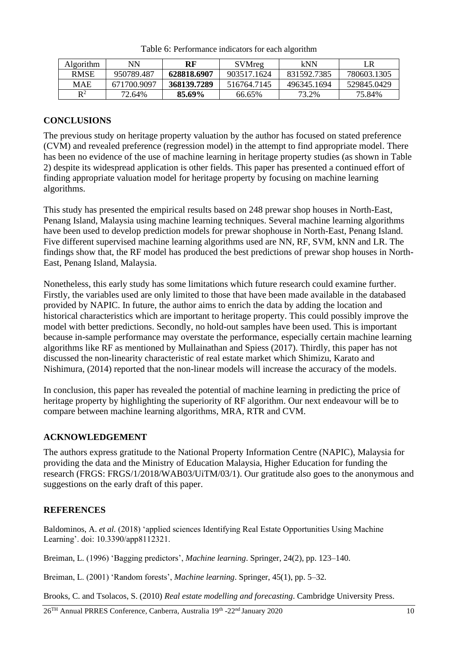<span id="page-9-0"></span>

| <b>Algorithm</b> | NN          | RF          | SVMreg      | kNN         |             |
|------------------|-------------|-------------|-------------|-------------|-------------|
| <b>RMSE</b>      | 950789.487  | 628818.6907 | 903517.1624 | 831592.7385 | 780603.1305 |
| MAE              | 671700.9097 | 368139.7289 | 516764.7145 | 496345.1694 | 529845.0429 |
| $R^2$            | 72.64%      | 85.69%      | 66.65%      | 73.2%       | 75.84%      |

Table 6: Performance indicators for each algorithm

## **CONCLUSIONS**

The previous study on heritage property valuation by the author has focused on stated preference (CVM) and revealed preference (regression model) in the attempt to find appropriate model. There has been no evidence of the use of machine learning in heritage property studies (as shown in [Table](#page-2-0)  [2\)](#page-2-0) despite its widespread application is other fields. This paper has presented a continued effort of finding appropriate valuation model for heritage property by focusing on machine learning algorithms.

This study has presented the empirical results based on 248 prewar shop houses in North-East, Penang Island, Malaysia using machine learning techniques. Several machine learning algorithms have been used to develop prediction models for prewar shophouse in North-East, Penang Island. Five different supervised machine learning algorithms used are NN, RF, SVM, kNN and LR. The findings show that, the RF model has produced the best predictions of prewar shop houses in North-East, Penang Island, Malaysia.

Nonetheless, this early study has some limitations which future research could examine further. Firstly, the variables used are only limited to those that have been made available in the databased provided by NAPIC. In future, the author aims to enrich the data by adding the location and historical characteristics which are important to heritage property. This could possibly improve the model with better predictions. Secondly, no hold-out samples have been used. This is important because in-sample performance may overstate the performance, especially certain machine learning algorithms like RF as mentioned by Mullainathan and Spiess (2017). Thirdly, this paper has not discussed the non-linearity characteristic of real estate market which Shimizu, Karato and Nishimura, (2014) reported that the non-linear models will increase the accuracy of the models.

In conclusion, this paper has revealed the potential of machine learning in predicting the price of heritage property by highlighting the superiority of RF algorithm. Our next endeavour will be to compare between machine learning algorithms, MRA, RTR and CVM.

## **ACKNOWLEDGEMENT**

The authors express gratitude to the National Property Information Centre (NAPIC), Malaysia for providing the data and the Ministry of Education Malaysia, Higher Education for funding the research (FRGS: FRGS/1/2018/WAB03/UiTM/03/1). Our gratitude also goes to the anonymous and suggestions on the early draft of this paper.

## **REFERENCES**

Baldominos, A. *et al.* (2018) 'applied sciences Identifying Real Estate Opportunities Using Machine Learning'. doi: 10.3390/app8112321.

Breiman, L. (1996) 'Bagging predictors', *Machine learning*. Springer, 24(2), pp. 123–140.

Breiman, L. (2001) 'Random forests', *Machine learning*. Springer, 45(1), pp. 5–32.

Brooks, C. and Tsolacos, S. (2010) *Real estate modelling and forecasting*. Cambridge University Press.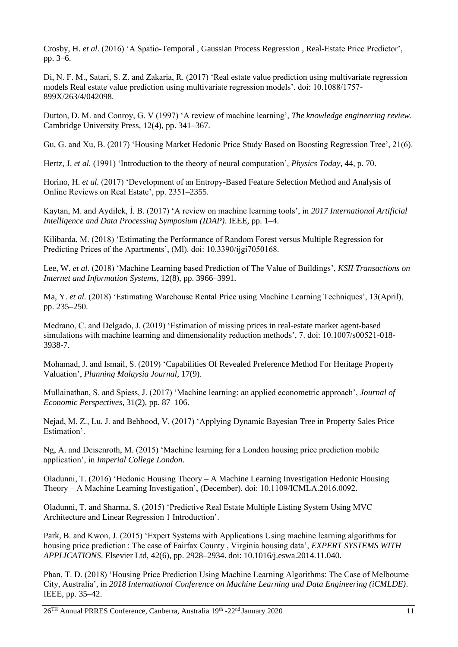Crosby, H. *et al.* (2016) 'A Spatio-Temporal , Gaussian Process Regression , Real-Estate Price Predictor', pp. 3–6.

Di, N. F. M., Satari, S. Z. and Zakaria, R. (2017) 'Real estate value prediction using multivariate regression models Real estate value prediction using multivariate regression models'. doi: 10.1088/1757- 899X/263/4/042098.

Dutton, D. M. and Conroy, G. V (1997) 'A review of machine learning', *The knowledge engineering review*. Cambridge University Press, 12(4), pp. 341–367.

Gu, G. and Xu, B. (2017) 'Housing Market Hedonic Price Study Based on Boosting Regression Tree', 21(6).

Hertz, J. *et al.* (1991) 'Introduction to the theory of neural computation', *Physics Today*, 44, p. 70.

Horino, H. *et al.* (2017) 'Development of an Entropy-Based Feature Selection Method and Analysis of Online Reviews on Real Estate', pp. 2351–2355.

Kaytan, M. and Aydilek, İ. B. (2017) 'A review on machine learning tools', in *2017 International Artificial Intelligence and Data Processing Symposium (IDAP)*. IEEE, pp. 1–4.

Kilibarda, M. (2018) 'Estimating the Performance of Random Forest versus Multiple Regression for Predicting Prices of the Apartments', (Ml). doi: 10.3390/ijgi7050168.

Lee, W. *et al.* (2018) 'Machine Learning based Prediction of The Value of Buildings', *KSII Transactions on Internet and Information Systems*, 12(8), pp. 3966–3991.

Ma, Y. *et al.* (2018) 'Estimating Warehouse Rental Price using Machine Learning Techniques', 13(April), pp. 235–250.

Medrano, C. and Delgado, J. (2019) 'Estimation of missing prices in real-estate market agent-based simulations with machine learning and dimensionality reduction methods', 7. doi: 10.1007/s00521-018- 3938-7.

Mohamad, J. and Ismail, S. (2019) 'Capabilities Of Revealed Preference Method For Heritage Property Valuation', *Planning Malaysia Journal*, 17(9).

Mullainathan, S. and Spiess, J. (2017) 'Machine learning: an applied econometric approach', *Journal of Economic Perspectives*, 31(2), pp. 87–106.

Nejad, M. Z., Lu, J. and Behbood, V. (2017) 'Applying Dynamic Bayesian Tree in Property Sales Price Estimation'.

Ng, A. and Deisenroth, M. (2015) 'Machine learning for a London housing price prediction mobile application', in *Imperial College London*.

Oladunni, T. (2016) 'Hedonic Housing Theory – A Machine Learning Investigation Hedonic Housing Theory – A Machine Learning Investigation', (December). doi: 10.1109/ICMLA.2016.0092.

Oladunni, T. and Sharma, S. (2015) 'Predictive Real Estate Multiple Listing System Using MVC Architecture and Linear Regression 1 Introduction'.

Park, B. and Kwon, J. (2015) 'Expert Systems with Applications Using machine learning algorithms for housing price prediction : The case of Fairfax County , Virginia housing data', *EXPERT SYSTEMS WITH APPLICATIONS*. Elsevier Ltd, 42(6), pp. 2928–2934. doi: 10.1016/j.eswa.2014.11.040.

Phan, T. D. (2018) 'Housing Price Prediction Using Machine Learning Algorithms: The Case of Melbourne City, Australia', in *2018 International Conference on Machine Learning and Data Engineering (iCMLDE)*. IEEE, pp. 35–42.